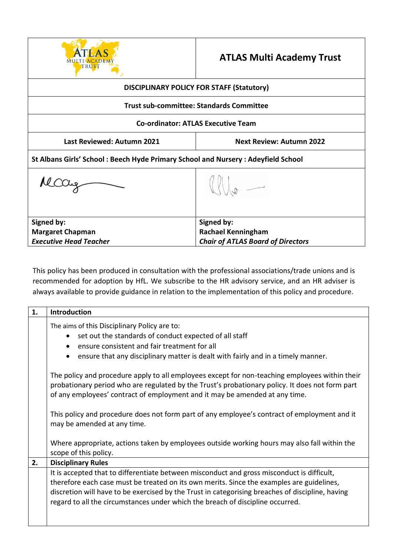

## **ATLAS Multi Academy Trust**

| <b>DISCIPLINARY POLICY FOR STAFF (Statutory)</b>                                 |                                          |  |
|----------------------------------------------------------------------------------|------------------------------------------|--|
| <b>Trust sub-committee: Standards Committee</b>                                  |                                          |  |
| <b>Co-ordinator: ATLAS Executive Team</b>                                        |                                          |  |
| Last Reviewed: Autumn 2021                                                       | <b>Next Review: Autumn 2022</b>          |  |
| St Albans Girls' School: Beech Hyde Primary School and Nursery: Adeyfield School |                                          |  |
| recitiz                                                                          |                                          |  |
| Signed by:                                                                       | Signed by:                               |  |
| <b>Margaret Chapman</b>                                                          | <b>Rachael Kenningham</b>                |  |
| <b>Executive Head Teacher</b>                                                    | <b>Chair of ATLAS Board of Directors</b> |  |

This policy has been produced in consultation with the professional associations/trade unions and is recommended for adoption by HfL. We subscribe to the HR advisory service, and an HR adviser is always available to provide guidance in relation to the implementation of this policy and procedure.

| 1. | Introduction                                                                                                                                                                                                                                                                     |
|----|----------------------------------------------------------------------------------------------------------------------------------------------------------------------------------------------------------------------------------------------------------------------------------|
|    | The aims of this Disciplinary Policy are to:<br>set out the standards of conduct expected of all staff<br>ensure consistent and fair treatment for all<br>ensure that any disciplinary matter is dealt with fairly and in a timely manner.                                       |
|    | The policy and procedure apply to all employees except for non-teaching employees within their<br>probationary period who are regulated by the Trust's probationary policy. It does not form part<br>of any employees' contract of employment and it may be amended at any time. |
|    | This policy and procedure does not form part of any employee's contract of employment and it<br>may be amended at any time.                                                                                                                                                      |
|    | Where appropriate, actions taken by employees outside working hours may also fall within the<br>scope of this policy.                                                                                                                                                            |
| 2. | <b>Disciplinary Rules</b>                                                                                                                                                                                                                                                        |
|    | It is accepted that to differentiate between misconduct and gross misconduct is difficult,                                                                                                                                                                                       |
|    | therefore each case must be treated on its own merits. Since the examples are guidelines,<br>discretion will have to be exercised by the Trust in categorising breaches of discipline, having<br>regard to all the circumstances under which the breach of discipline occurred.  |
|    |                                                                                                                                                                                                                                                                                  |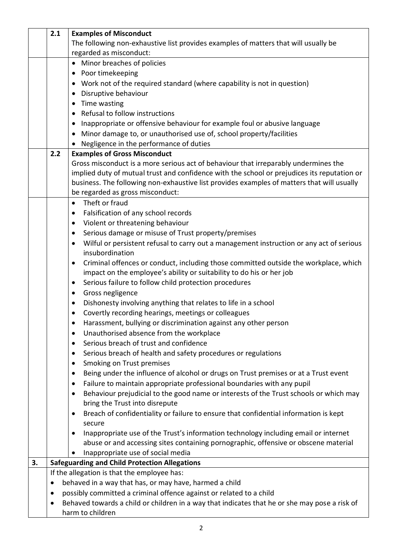|    | 2.1       | <b>Examples of Misconduct</b>                                                                               |
|----|-----------|-------------------------------------------------------------------------------------------------------------|
|    |           | The following non-exhaustive list provides examples of matters that will usually be                         |
|    |           | regarded as misconduct:                                                                                     |
|    |           | • Minor breaches of policies                                                                                |
|    |           | • Poor timekeeping                                                                                          |
|    |           | • Work not of the required standard (where capability is not in question)                                   |
|    |           | Disruptive behaviour                                                                                        |
|    |           | • Time wasting                                                                                              |
|    |           | Refusal to follow instructions<br>$\bullet$                                                                 |
|    |           | Inappropriate or offensive behaviour for example foul or abusive language                                   |
|    |           | Minor damage to, or unauthorised use of, school property/facilities<br>$\bullet$                            |
|    |           | Negligence in the performance of duties                                                                     |
|    | 2.2       | <b>Examples of Gross Misconduct</b>                                                                         |
|    |           | Gross misconduct is a more serious act of behaviour that irreparably undermines the                         |
|    |           | implied duty of mutual trust and confidence with the school or prejudices its reputation or                 |
|    |           | business. The following non-exhaustive list provides examples of matters that will usually                  |
|    |           | be regarded as gross misconduct:                                                                            |
|    |           | Theft or fraud<br>$\bullet$                                                                                 |
|    |           | Falsification of any school records<br>$\bullet$                                                            |
|    |           | Violent or threatening behaviour<br>$\bullet$                                                               |
|    |           | Serious damage or misuse of Trust property/premises<br>$\bullet$                                            |
|    |           | Wilful or persistent refusal to carry out a management instruction or any act of serious<br>$\bullet$       |
|    |           | insubordination                                                                                             |
|    |           | Criminal offences or conduct, including those committed outside the workplace, which<br>$\bullet$           |
|    |           | impact on the employee's ability or suitability to do his or her job                                        |
|    |           | Serious failure to follow child protection procedures<br>$\bullet$                                          |
|    |           | Gross negligence<br>$\bullet$                                                                               |
|    |           | Dishonesty involving anything that relates to life in a school<br>$\bullet$                                 |
|    |           | Covertly recording hearings, meetings or colleagues                                                         |
|    |           | Harassment, bullying or discrimination against any other person                                             |
|    |           | Unauthorised absence from the workplace<br>$\bullet$                                                        |
|    |           | Serious breach of trust and confidence<br>$\bullet$                                                         |
|    |           | Serious breach of health and safety procedures or regulations<br>$\bullet$                                  |
|    |           | Smoking on Trust premises<br>٠                                                                              |
|    |           | Being under the influence of alcohol or drugs on Trust premises or at a Trust event<br>$\bullet$            |
|    |           | Failure to maintain appropriate professional boundaries with any pupil<br>$\bullet$                         |
|    |           | Behaviour prejudicial to the good name or interests of the Trust schools or which may<br>٠                  |
|    |           | bring the Trust into disrepute                                                                              |
|    |           | Breach of confidentiality or failure to ensure that confidential information is kept<br>$\bullet$<br>secure |
|    |           | Inappropriate use of the Trust's information technology including email or internet                         |
|    |           | abuse or and accessing sites containing pornographic, offensive or obscene material                         |
|    |           | Inappropriate use of social media                                                                           |
| 3. |           | <b>Safeguarding and Child Protection Allegations</b>                                                        |
|    |           | If the allegation is that the employee has:                                                                 |
|    | $\bullet$ | behaved in a way that has, or may have, harmed a child                                                      |
|    | $\bullet$ | possibly committed a criminal offence against or related to a child                                         |
|    | $\bullet$ | Behaved towards a child or children in a way that indicates that he or she may pose a risk of               |
|    |           | harm to children                                                                                            |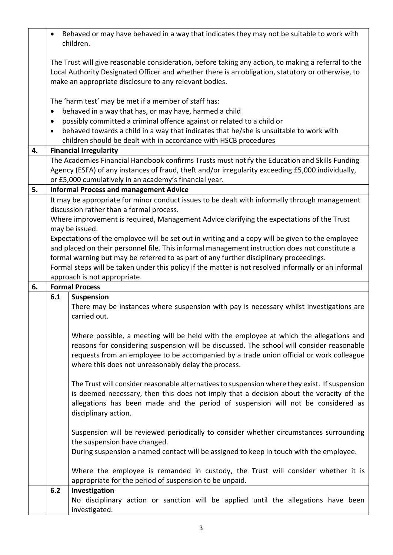|    | $\bullet$                                              | Behaved or may have behaved in a way that indicates they may not be suitable to work with<br>children.                                                                                                                                                                                                                               |  |
|----|--------------------------------------------------------|--------------------------------------------------------------------------------------------------------------------------------------------------------------------------------------------------------------------------------------------------------------------------------------------------------------------------------------|--|
|    |                                                        | The Trust will give reasonable consideration, before taking any action, to making a referral to the<br>Local Authority Designated Officer and whether there is an obligation, statutory or otherwise, to<br>make an appropriate disclosure to any relevant bodies.                                                                   |  |
|    |                                                        | The 'harm test' may be met if a member of staff has:                                                                                                                                                                                                                                                                                 |  |
|    | $\bullet$                                              | behaved in a way that has, or may have, harmed a child                                                                                                                                                                                                                                                                               |  |
|    | $\bullet$                                              | possibly committed a criminal offence against or related to a child or                                                                                                                                                                                                                                                               |  |
|    | $\bullet$                                              | behaved towards a child in a way that indicates that he/she is unsuitable to work with                                                                                                                                                                                                                                               |  |
| 4. |                                                        | children should be dealt with in accordance with HSCB procedures<br><b>Financial Irregularity</b>                                                                                                                                                                                                                                    |  |
|    |                                                        | The Academies Financial Handbook confirms Trusts must notify the Education and Skills Funding                                                                                                                                                                                                                                        |  |
|    |                                                        | Agency (ESFA) of any instances of fraud, theft and/or irregularity exceeding £5,000 individually,                                                                                                                                                                                                                                    |  |
|    | or £5,000 cumulatively in an academy's financial year. |                                                                                                                                                                                                                                                                                                                                      |  |
| 5. |                                                        | <b>Informal Process and management Advice</b>                                                                                                                                                                                                                                                                                        |  |
|    |                                                        | It may be appropriate for minor conduct issues to be dealt with informally through management                                                                                                                                                                                                                                        |  |
|    |                                                        | discussion rather than a formal process.<br>Where improvement is required, Management Advice clarifying the expectations of the Trust                                                                                                                                                                                                |  |
|    | may be issued.                                         |                                                                                                                                                                                                                                                                                                                                      |  |
|    |                                                        | Expectations of the employee will be set out in writing and a copy will be given to the employee                                                                                                                                                                                                                                     |  |
|    |                                                        | and placed on their personnel file. This informal management instruction does not constitute a                                                                                                                                                                                                                                       |  |
|    |                                                        | formal warning but may be referred to as part of any further disciplinary proceedings.                                                                                                                                                                                                                                               |  |
|    |                                                        | Formal steps will be taken under this policy if the matter is not resolved informally or an informal                                                                                                                                                                                                                                 |  |
| 6. |                                                        | approach is not appropriate.<br><b>Formal Process</b>                                                                                                                                                                                                                                                                                |  |
|    | 6.1<br><b>Suspension</b>                               |                                                                                                                                                                                                                                                                                                                                      |  |
|    |                                                        | There may be instances where suspension with pay is necessary whilst investigations are<br>carried out.                                                                                                                                                                                                                              |  |
|    |                                                        | Where possible, a meeting will be held with the employee at which the allegations and<br>reasons for considering suspension will be discussed. The school will consider reasonable<br>requests from an employee to be accompanied by a trade union official or work colleague<br>where this does not unreasonably delay the process. |  |
|    |                                                        | The Trust will consider reasonable alternatives to suspension where they exist. If suspension<br>is deemed necessary, then this does not imply that a decision about the veracity of the<br>allegations has been made and the period of suspension will not be considered as<br>disciplinary action.                                 |  |
|    |                                                        | Suspension will be reviewed periodically to consider whether circumstances surrounding<br>the suspension have changed.<br>During suspension a named contact will be assigned to keep in touch with the employee.                                                                                                                     |  |
|    |                                                        | Where the employee is remanded in custody, the Trust will consider whether it is<br>appropriate for the period of suspension to be unpaid.                                                                                                                                                                                           |  |
|    | 6.2                                                    | Investigation                                                                                                                                                                                                                                                                                                                        |  |
|    |                                                        | No disciplinary action or sanction will be applied until the allegations have been<br>investigated.                                                                                                                                                                                                                                  |  |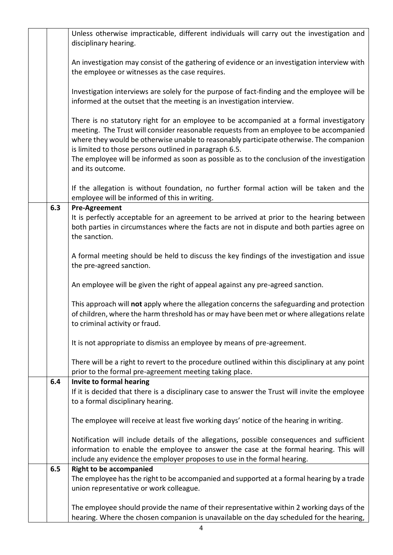|     | Unless otherwise impracticable, different individuals will carry out the investigation and<br>disciplinary hearing.                                                                                                                                                                                                                                                                                                                                        |
|-----|------------------------------------------------------------------------------------------------------------------------------------------------------------------------------------------------------------------------------------------------------------------------------------------------------------------------------------------------------------------------------------------------------------------------------------------------------------|
|     | An investigation may consist of the gathering of evidence or an investigation interview with<br>the employee or witnesses as the case requires.                                                                                                                                                                                                                                                                                                            |
|     | Investigation interviews are solely for the purpose of fact-finding and the employee will be<br>informed at the outset that the meeting is an investigation interview.                                                                                                                                                                                                                                                                                     |
|     | There is no statutory right for an employee to be accompanied at a formal investigatory<br>meeting. The Trust will consider reasonable requests from an employee to be accompanied<br>where they would be otherwise unable to reasonably participate otherwise. The companion<br>is limited to those persons outlined in paragraph 6.5.<br>The employee will be informed as soon as possible as to the conclusion of the investigation<br>and its outcome. |
|     | If the allegation is without foundation, no further formal action will be taken and the<br>employee will be informed of this in writing.                                                                                                                                                                                                                                                                                                                   |
| 6.3 | <b>Pre-Agreement</b><br>It is perfectly acceptable for an agreement to be arrived at prior to the hearing between<br>both parties in circumstances where the facts are not in dispute and both parties agree on                                                                                                                                                                                                                                            |
|     | the sanction.                                                                                                                                                                                                                                                                                                                                                                                                                                              |
|     | A formal meeting should be held to discuss the key findings of the investigation and issue<br>the pre-agreed sanction.                                                                                                                                                                                                                                                                                                                                     |
|     | An employee will be given the right of appeal against any pre-agreed sanction.                                                                                                                                                                                                                                                                                                                                                                             |
|     | This approach will not apply where the allegation concerns the safeguarding and protection<br>of children, where the harm threshold has or may have been met or where allegations relate<br>to criminal activity or fraud.                                                                                                                                                                                                                                 |
|     | It is not appropriate to dismiss an employee by means of pre-agreement.                                                                                                                                                                                                                                                                                                                                                                                    |
|     | There will be a right to revert to the procedure outlined within this disciplinary at any point<br>prior to the formal pre-agreement meeting taking place.                                                                                                                                                                                                                                                                                                 |
| 6.4 | Invite to formal hearing<br>If it is decided that there is a disciplinary case to answer the Trust will invite the employee<br>to a formal disciplinary hearing.                                                                                                                                                                                                                                                                                           |
|     | The employee will receive at least five working days' notice of the hearing in writing.                                                                                                                                                                                                                                                                                                                                                                    |
|     | Notification will include details of the allegations, possible consequences and sufficient<br>information to enable the employee to answer the case at the formal hearing. This will<br>include any evidence the employer proposes to use in the formal hearing.                                                                                                                                                                                           |
| 6.5 | <b>Right to be accompanied</b><br>The employee has the right to be accompanied and supported at a formal hearing by a trade<br>union representative or work colleague.                                                                                                                                                                                                                                                                                     |
|     | The employee should provide the name of their representative within 2 working days of the<br>hearing. Where the chosen companion is unavailable on the day scheduled for the hearing,                                                                                                                                                                                                                                                                      |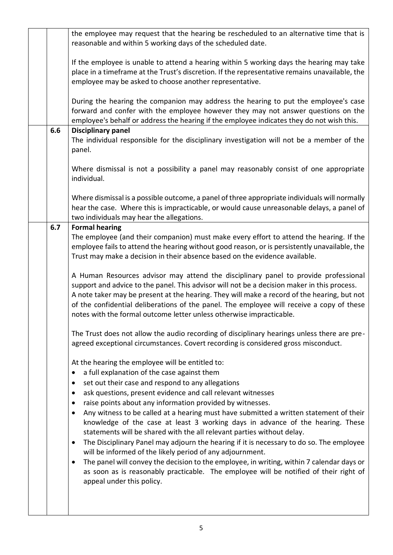|     | the employee may request that the hearing be rescheduled to an alternative time that is<br>reasonable and within 5 working days of the scheduled date.                                                                                                                                                                                                                                                                                                                                                                                                                                                                                                                                                                                                                                                                                                                                                                                              |
|-----|-----------------------------------------------------------------------------------------------------------------------------------------------------------------------------------------------------------------------------------------------------------------------------------------------------------------------------------------------------------------------------------------------------------------------------------------------------------------------------------------------------------------------------------------------------------------------------------------------------------------------------------------------------------------------------------------------------------------------------------------------------------------------------------------------------------------------------------------------------------------------------------------------------------------------------------------------------|
|     | If the employee is unable to attend a hearing within 5 working days the hearing may take<br>place in a timeframe at the Trust's discretion. If the representative remains unavailable, the<br>employee may be asked to choose another representative.                                                                                                                                                                                                                                                                                                                                                                                                                                                                                                                                                                                                                                                                                               |
|     | During the hearing the companion may address the hearing to put the employee's case<br>forward and confer with the employee however they may not answer questions on the<br>employee's behalf or address the hearing if the employee indicates they do not wish this.                                                                                                                                                                                                                                                                                                                                                                                                                                                                                                                                                                                                                                                                               |
| 6.6 | <b>Disciplinary panel</b><br>The individual responsible for the disciplinary investigation will not be a member of the<br>panel.                                                                                                                                                                                                                                                                                                                                                                                                                                                                                                                                                                                                                                                                                                                                                                                                                    |
|     | Where dismissal is not a possibility a panel may reasonably consist of one appropriate<br>individual.                                                                                                                                                                                                                                                                                                                                                                                                                                                                                                                                                                                                                                                                                                                                                                                                                                               |
|     | Where dismissal is a possible outcome, a panel of three appropriate individuals will normally<br>hear the case. Where this is impracticable, or would cause unreasonable delays, a panel of<br>two individuals may hear the allegations.                                                                                                                                                                                                                                                                                                                                                                                                                                                                                                                                                                                                                                                                                                            |
| 6.7 | <b>Formal hearing</b><br>The employee (and their companion) must make every effort to attend the hearing. If the<br>employee fails to attend the hearing without good reason, or is persistently unavailable, the<br>Trust may make a decision in their absence based on the evidence available.                                                                                                                                                                                                                                                                                                                                                                                                                                                                                                                                                                                                                                                    |
|     | A Human Resources advisor may attend the disciplinary panel to provide professional<br>support and advice to the panel. This advisor will not be a decision maker in this process.<br>A note taker may be present at the hearing. They will make a record of the hearing, but not<br>of the confidential deliberations of the panel. The employee will receive a copy of these<br>notes with the formal outcome letter unless otherwise impracticable.                                                                                                                                                                                                                                                                                                                                                                                                                                                                                              |
|     | The Trust does not allow the audio recording of disciplinary hearings unless there are pre-<br>agreed exceptional circumstances. Covert recording is considered gross misconduct.                                                                                                                                                                                                                                                                                                                                                                                                                                                                                                                                                                                                                                                                                                                                                                   |
|     | At the hearing the employee will be entitled to:<br>a full explanation of the case against them<br>set out their case and respond to any allegations<br>ask questions, present evidence and call relevant witnesses<br>٠<br>raise points about any information provided by witnesses.<br>٠<br>Any witness to be called at a hearing must have submitted a written statement of their<br>$\bullet$<br>knowledge of the case at least 3 working days in advance of the hearing. These<br>statements will be shared with the all relevant parties without delay.<br>The Disciplinary Panel may adjourn the hearing if it is necessary to do so. The employee<br>٠<br>will be informed of the likely period of any adjournment.<br>The panel will convey the decision to the employee, in writing, within 7 calendar days or<br>٠<br>as soon as is reasonably practicable. The employee will be notified of their right of<br>appeal under this policy. |
|     |                                                                                                                                                                                                                                                                                                                                                                                                                                                                                                                                                                                                                                                                                                                                                                                                                                                                                                                                                     |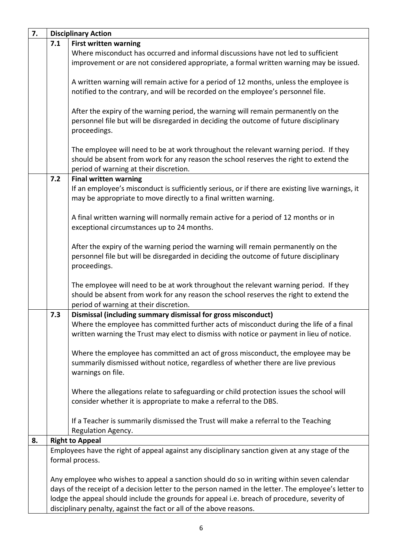| 7. | <b>Disciplinary Action</b> |                                                                                                                                                                                                      |
|----|----------------------------|------------------------------------------------------------------------------------------------------------------------------------------------------------------------------------------------------|
|    | 7.1                        | <b>First written warning</b>                                                                                                                                                                         |
|    |                            | Where misconduct has occurred and informal discussions have not led to sufficient                                                                                                                    |
|    |                            | improvement or are not considered appropriate, a formal written warning may be issued.                                                                                                               |
|    |                            |                                                                                                                                                                                                      |
|    |                            | A written warning will remain active for a period of 12 months, unless the employee is                                                                                                               |
|    |                            | notified to the contrary, and will be recorded on the employee's personnel file.                                                                                                                     |
|    |                            |                                                                                                                                                                                                      |
|    |                            | After the expiry of the warning period, the warning will remain permanently on the<br>personnel file but will be disregarded in deciding the outcome of future disciplinary                          |
|    |                            | proceedings.                                                                                                                                                                                         |
|    |                            |                                                                                                                                                                                                      |
|    |                            | The employee will need to be at work throughout the relevant warning period. If they                                                                                                                 |
|    |                            | should be absent from work for any reason the school reserves the right to extend the                                                                                                                |
|    |                            | period of warning at their discretion.                                                                                                                                                               |
|    | 7.2                        | <b>Final written warning</b>                                                                                                                                                                         |
|    |                            | If an employee's misconduct is sufficiently serious, or if there are existing live warnings, it                                                                                                      |
|    |                            | may be appropriate to move directly to a final written warning.                                                                                                                                      |
|    |                            |                                                                                                                                                                                                      |
|    |                            | A final written warning will normally remain active for a period of 12 months or in                                                                                                                  |
|    |                            | exceptional circumstances up to 24 months.                                                                                                                                                           |
|    |                            | After the expiry of the warning period the warning will remain permanently on the                                                                                                                    |
|    |                            | personnel file but will be disregarded in deciding the outcome of future disciplinary                                                                                                                |
|    |                            | proceedings.                                                                                                                                                                                         |
|    |                            |                                                                                                                                                                                                      |
|    |                            | The employee will need to be at work throughout the relevant warning period. If they                                                                                                                 |
|    |                            | should be absent from work for any reason the school reserves the right to extend the                                                                                                                |
|    |                            | period of warning at their discretion.                                                                                                                                                               |
|    | 7.3                        | Dismissal (including summary dismissal for gross misconduct)                                                                                                                                         |
|    |                            | Where the employee has committed further acts of misconduct during the life of a final                                                                                                               |
|    |                            | written warning the Trust may elect to dismiss with notice or payment in lieu of notice.                                                                                                             |
|    |                            |                                                                                                                                                                                                      |
|    |                            | Where the employee has committed an act of gross misconduct, the employee may be                                                                                                                     |
|    |                            | summarily dismissed without notice, regardless of whether there are live previous                                                                                                                    |
|    |                            | warnings on file.                                                                                                                                                                                    |
|    |                            | Where the allegations relate to safeguarding or child protection issues the school will                                                                                                              |
|    |                            | consider whether it is appropriate to make a referral to the DBS.                                                                                                                                    |
|    |                            |                                                                                                                                                                                                      |
|    |                            | If a Teacher is summarily dismissed the Trust will make a referral to the Teaching                                                                                                                   |
|    |                            | Regulation Agency.                                                                                                                                                                                   |
| 8. |                            | <b>Right to Appeal</b>                                                                                                                                                                               |
|    |                            | Employees have the right of appeal against any disciplinary sanction given at any stage of the                                                                                                       |
|    |                            | formal process.                                                                                                                                                                                      |
|    |                            |                                                                                                                                                                                                      |
|    |                            | Any employee who wishes to appeal a sanction should do so in writing within seven calendar                                                                                                           |
|    |                            | days of the receipt of a decision letter to the person named in the letter. The employee's letter to<br>lodge the appeal should include the grounds for appeal i.e. breach of procedure, severity of |
|    |                            | disciplinary penalty, against the fact or all of the above reasons.                                                                                                                                  |
|    |                            |                                                                                                                                                                                                      |